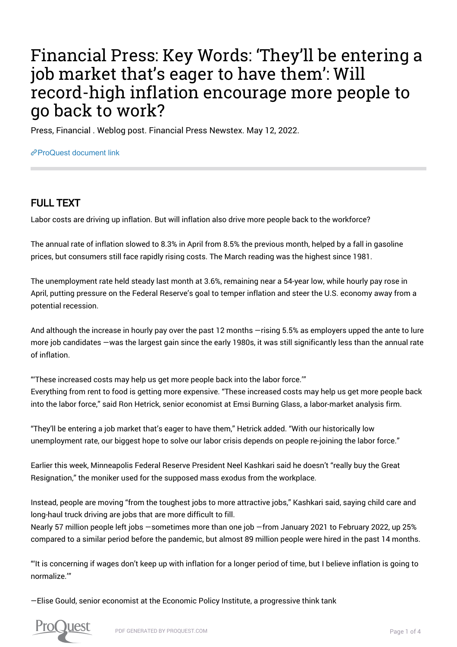## Financial Press: Key Words: 'They'll be entering a job market that's eager to have them': Will record-high inflation encourage more people to go back to work?

Press, Financial . Weblog post. Financial Press Newstex. May 12, 2022.

[ProQuest document link](https://www.proquest.com/blogs-podcasts-websites/financial-press-key-words-they-ll-be-entering-job/docview/2662156592/se-2?accountid=44910)

## FULL TEXT

Labor costs are driving up inflation. But will inflation also drive more people back to the workforce?

The annual rate of inflation slowed to 8.3% in April from 8.5% the previous month, helped by a fall in gasoline prices, but consumers still face rapidly rising costs. The March reading was the highest since 1981.

The unemployment rate held steady last month at 3.6%, remaining near a 54-year low, while hourly pay rose in April, putting pressure on the Federal Reserve's goal to temper inflation and steer the U.S. economy away from a potential recession.

And although the increase in hourly pay over the past 12 months —rising 5.5% as employers upped the ante to lure more job candidates —was the largest gain since the early 1980s, it was still significantly less than the annual rate of inflation.

"'These increased costs may help us get more people back into the labor force.'" Everything from rent to food is getting more expensive. "These increased costs may help us get more people back into the labor force," said Ron Hetrick, senior economist at Emsi Burning Glass, a labor-market analysis firm.

"They'll be entering a job market that's eager to have them," Hetrick added. "With our historically low unemployment rate, our biggest hope to solve our labor crisis depends on people re-joining the labor force."

Earlier this week, Minneapolis Federal Reserve President Neel Kashkari said he doesn't "really buy the Great Resignation," the moniker used for the supposed mass exodus from the workplace.

Instead, people are moving "from the toughest jobs to more attractive jobs," Kashkari said, saying child care and long-haul truck driving are jobs that are more difficult to fill.

Nearly 57 million people left jobs —sometimes more than one job —from January 2021 to February 2022, up 25% compared to a similar period before the pandemic, but almost 89 million people were hired in the past 14 months.

"'It is concerning if wages don't keep up with inflation for a longer period of time, but I believe inflation is going to normalize.'"

—Elise Gould, senior economist at the Economic Policy Institute, a progressive think tank

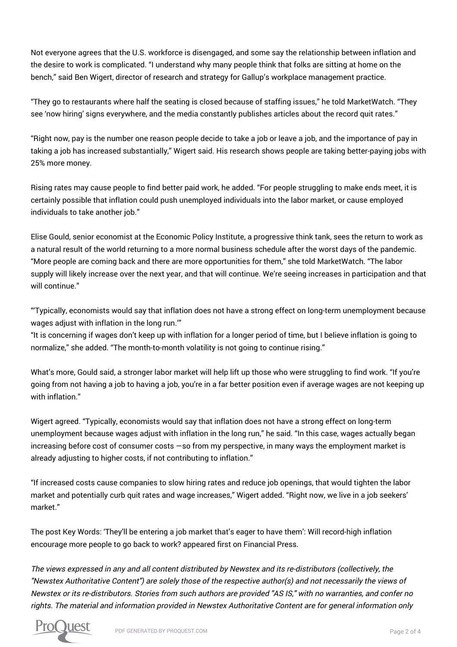Not everyone agrees that the U.S. workforce is disengaged, and some say the relationship between inflation and the desire to work is complicated. "I understand why many people think that folks are sitting at home on the bench," said Ben Wigert, director of research and strategy for Gallup's workplace management practice.

"They go to restaurants where half the seating is closed because of staffing issues," he told MarketWatch. "They see 'now hiring' signs everywhere, and the media constantly publishes articles about the record quit rates."

"Right now, pay is the number one reason people decide to take a job or leave a job, and the importance of pay in taking a job has increased substantially," Wigert said. His research shows people are taking better-paying jobs with 25% more money.

Rising rates may cause people to find better paid work, he added. "For people struggling to make ends meet, it is certainly possible that inflation could push unemployed individuals into the labor market, or cause employed individuals to take another job."

Elise Gould, senior economist at the Economic Policy Institute, a progressive think tank, sees the return to work as a natural result of the world returning to a more normal business schedule after the worst days of the pandemic. "More people are coming back and there are more opportunities for them," she told MarketWatch. "The labor supply will likely increase over the next year, and that will continue. We're seeing increases in participation and that will continue"

"'Typically, economists would say that inflation does not have a strong effect on long-term unemployment because wages adjust with inflation in the long run.'"

"It is concerning if wages don't keep up with inflation for a longer period of time, but I believe inflation is going to normalize," she added. "The month-to-month volatility is not going to continue rising."

What's more, Gould said, a stronger labor market will help lift up those who were struggling to find work. "If you're going from not having a job to having a job, you're in a far better position even if average wages are not keeping up with inflation."

Wigert agreed. "Typically, economists would say that inflation does not have a strong effect on long-term unemployment because wages adjust with inflation in the long run," he said. "In this case, wages actually began increasing before cost of consumer costs —so from my perspective, in many ways the employment market is already adjusting to higher costs, if not contributing to inflation."

"If increased costs cause companies to slow hiring rates and reduce job openings, that would tighten the labor market and potentially curb quit rates and wage increases," Wigert added. "Right now, we live in a job seekers' market."

The post Key Words: 'They'll be entering a job market that's eager to have them': Will record-high inflation encourage more people to go back to work? appeared first on Financial Press.

The views expressed in any and all content distributed by Newstex and its re-distributors (collectively, the "Newstex Authoritative Content") are solely those of the respective author(s) and not necessarily the views of Newstex or its re-distributors. Stories from such authors are provided "AS IS," with no warranties, and confer no rights. The material and information provided in Newstex Authoritative Content are for general information only

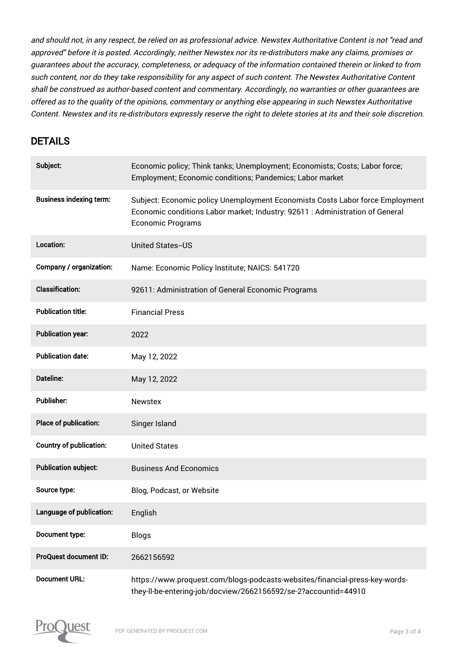and should not, in any respect, be relied on as professional advice. Newstex Authoritative Content is not "read and approved" before it is posted. Accordingly, neither Newstex nor its re-distributors make any claims, promises or guarantees about the accuracy, completeness, or adequacy of the information contained therein or linked to from such content, nor do they take responsibility for any aspect of such content. The Newstex Authoritative Content shall be construed as author-based content and commentary. Accordingly, no warranties or other guarantees are offered as to the quality of the opinions, commentary or anything else appearing in such Newstex Authoritative Content. Newstex and its re-distributors expressly reserve the right to delete stories at its and their sole discretion.

## DETAILS

| Subject:                       | Economic policy; Think tanks; Unemployment; Economists; Costs; Labor force;<br>Employment; Economic conditions; Pandemics; Labor market                                                    |
|--------------------------------|--------------------------------------------------------------------------------------------------------------------------------------------------------------------------------------------|
| <b>Business indexing term:</b> | Subject: Economic policy Unemployment Economists Costs Labor force Employment<br>Economic conditions Labor market; Industry: 92611 : Administration of General<br><b>Economic Programs</b> |
| Location:                      | <b>United States-US</b>                                                                                                                                                                    |
| Company / organization:        | Name: Economic Policy Institute; NAICS: 541720                                                                                                                                             |
| <b>Classification:</b>         | 92611: Administration of General Economic Programs                                                                                                                                         |
| <b>Publication title:</b>      | <b>Financial Press</b>                                                                                                                                                                     |
| <b>Publication year:</b>       | 2022                                                                                                                                                                                       |
| <b>Publication date:</b>       | May 12, 2022                                                                                                                                                                               |
| Dateline:                      | May 12, 2022                                                                                                                                                                               |
| <b>Publisher:</b>              | <b>Newstex</b>                                                                                                                                                                             |
| Place of publication:          | Singer Island                                                                                                                                                                              |
| <b>Country of publication:</b> | <b>United States</b>                                                                                                                                                                       |
| <b>Publication subject:</b>    | <b>Business And Economics</b>                                                                                                                                                              |
| Source type:                   | Blog, Podcast, or Website                                                                                                                                                                  |
| Language of publication:       | English                                                                                                                                                                                    |
| Document type:                 | <b>Blogs</b>                                                                                                                                                                               |
| ProQuest document ID:          | 2662156592                                                                                                                                                                                 |
| <b>Document URL:</b>           | https://www.proquest.com/blogs-podcasts-websites/financial-press-key-words-<br>they-Il-be-entering-job/docview/2662156592/se-2?accountid=44910                                             |